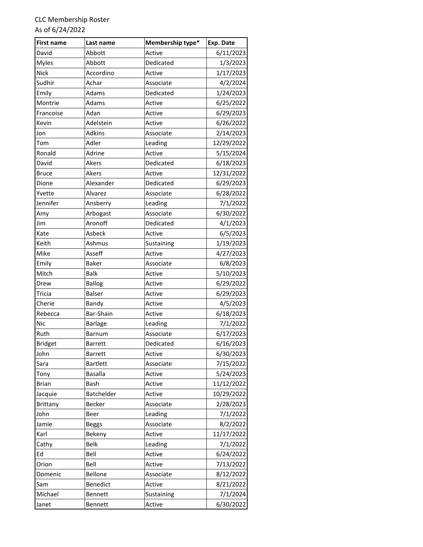| <b>First name</b> | Last name       | Membership type* | Exp. Date  |
|-------------------|-----------------|------------------|------------|
| David             | Abbott          | Active           | 6/11/2023  |
| <b>Myles</b>      | Abbott          | Dedicated        | 1/3/2023   |
| <b>Nick</b>       | Accordino       | Active           | 1/17/2023  |
| Sudhir            | Achar           | Associate        | 4/2/2024   |
| Emily             | Adams           | Dedicated        | 1/24/2023  |
| Montrie           | Adams           | Active           | 6/25/2022  |
| Francoise         | Adan            | Active           | 6/29/2023  |
| Kevin             | Adelstein       | Active           | 6/26/2022  |
| Jon               | <b>Adkins</b>   | Associate        | 2/14/2023  |
| Tom               | Adler           | Leading          | 12/29/2022 |
| Ronald            | Adrine          | Active           | 5/15/2024  |
| David             | Akers           | Dedicated        | 6/18/2023  |
| <b>Bruce</b>      | Akers           | Active           | 12/31/2022 |
| Dione             | Alexander       | Dedicated        | 6/29/2023  |
| Yvette            | Alvarez         | Associate        | 6/28/2022  |
| Jennifer          | Ansberry        | Leading          | 7/1/2022   |
| Amy               | Arbogast        | Associate        | 6/30/2022  |
| Jim               | Aronoff         | Dedicated        | 4/1/2023   |
| Kate              | Asbeck          | Active           | 6/5/2023   |
| Keith             | Ashmus          | Sustaining       | 1/19/2023  |
| Mike              | Asseff          | Active           | 4/27/2023  |
| Emily             | <b>Baker</b>    | Associate        | 6/8/2023   |
| Mitch             | <b>Balk</b>     | Active           | 5/10/2023  |
| Drew              | <b>Ballog</b>   | Active           | 6/29/2022  |
| Tricia            | <b>Balser</b>   | Active           | 6/29/2023  |
| Cherie            | Bandy           | Active           | 4/5/2023   |
| Rebecca           | Bar-Shain       | Active           | 6/18/2023  |
| Nic               | <b>Barlage</b>  | Leading          | 7/1/2022   |
| Ruth              | Barnum          | Associate        | 6/17/2023  |
| <b>Bridget</b>    | <b>Barrett</b>  | Dedicated        | 6/16/2023  |
| John              | <b>Barrett</b>  | Active           | 6/30/2023  |
| Sara              | <b>Bartlett</b> | Associate        | 7/15/2022  |
| Tony              | <b>Basalla</b>  | Active           | 5/24/2023  |
| <b>Brian</b>      | Bash            | Active           | 11/12/2022 |
| Jacquie           | Batchelder      | Active           | 10/29/2022 |
| Brittany          | <b>Becker</b>   | Associate        | 2/28/2023  |
| John              | <b>Beer</b>     | Leading          | 7/1/2022   |
| Jamie             | <b>Beggs</b>    | Associate        | 8/2/2022   |
| Karl              | Bekeny          | Active           | 11/17/2022 |
| Cathy             | <b>Belk</b>     | Leading          | 7/1/2022   |
| Ed                | Bell            | Active           | 6/24/2022  |
| Orion             | Bell            | Active           | 7/13/2022  |
| Domenic           | Bellone         | Associate        | 8/12/2022  |
| Sam               | Benedict        | Active           | 8/21/2022  |
| Michael           | <b>Bennett</b>  | Sustaining       | 7/1/2024   |
| Janet             | Bennett         | Active           | 6/30/2022  |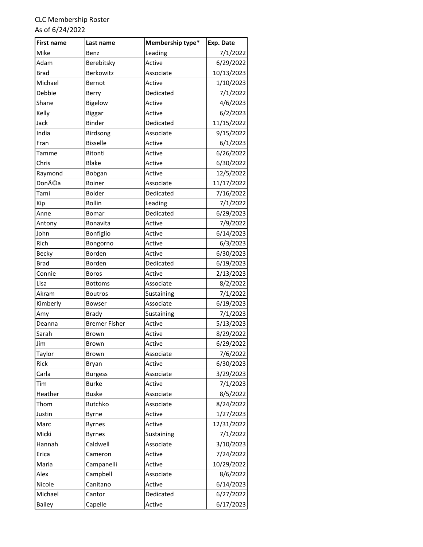| <b>First name</b> | Last name            | Membership type* | Exp. Date  |
|-------------------|----------------------|------------------|------------|
| Mike              | Benz                 | Leading          | 7/1/2022   |
| Adam              | Berebitsky           | Active           | 6/29/2022  |
| Brad              | <b>Berkowitz</b>     | Associate        | 10/13/2023 |
| Michael           | Bernot               | Active           | 1/10/2023  |
| Debbie            | Berry                | Dedicated        | 7/1/2022   |
| Shane             | Bigelow              | Active           | 4/6/2023   |
| Kelly             | <b>Biggar</b>        | Active           | 6/2/2023   |
| Jack              | <b>Binder</b>        | Dedicated        | 11/15/2022 |
| India             | Birdsong             | Associate        | 9/15/2022  |
| Fran              | <b>Bisselle</b>      | Active           | 6/1/2023   |
| Tamme             | Bitonti              | Active           | 6/26/2022  |
| Chris             | <b>Blake</b>         | Active           | 6/30/2022  |
| Raymond           | Bobgan               | Active           | 12/5/2022  |
| Donéa             | <b>Boiner</b>        | Associate        | 11/17/2022 |
| Tami              | <b>Bolder</b>        | Dedicated        | 7/16/2022  |
| Kip               | <b>Bollin</b>        | Leading          | 7/1/2022   |
| Anne              | Bomar                | Dedicated        | 6/29/2023  |
| Antony            | <b>Bonavita</b>      | Active           | 7/9/2022   |
| John              | Bonfiglio            | Active           | 6/14/2023  |
| Rich              | Bongorno             | Active           | 6/3/2023   |
| Becky             | Borden               | Active           | 6/30/2023  |
| <b>Brad</b>       | <b>Borden</b>        | Dedicated        | 6/19/2023  |
| Connie            | <b>Boros</b>         | Active           | 2/13/2023  |
| Lisa              | <b>Bottoms</b>       | Associate        | 8/2/2022   |
| Akram             | <b>Boutros</b>       | Sustaining       | 7/1/2022   |
| Kimberly          | Bowser               | Associate        | 6/19/2023  |
| Amy               | <b>Brady</b>         | Sustaining       | 7/1/2023   |
| Deanna            | <b>Bremer Fisher</b> | Active           | 5/13/2023  |
| Sarah             | Brown                | Active           | 8/29/2022  |
| Jim               | Brown                | Active           | 6/29/2022  |
| Taylor            | <b>Brown</b>         | Associate        | 7/6/2022   |
| Rick              | <b>Bryan</b>         | Active           | 6/30/2023  |
| Carla             | <b>Burgess</b>       | Associate        | 3/29/2023  |
| Tim               | <b>Burke</b>         | Active           | 7/1/2023   |
| Heather           | <b>Buske</b>         | Associate        | 8/5/2022   |
| Thom              | <b>Butchko</b>       | Associate        | 8/24/2022  |
| Justin            | Byrne                | Active           | 1/27/2023  |
| Marc              | <b>Byrnes</b>        | Active           | 12/31/2022 |
| Micki             | <b>Byrnes</b>        | Sustaining       | 7/1/2022   |
| Hannah            | Caldwell             | Associate        | 3/10/2023  |
| Erica             | Cameron              | Active           | 7/24/2022  |
| Maria             | Campanelli           | Active           | 10/29/2022 |
| Alex              | Campbell             | Associate        | 8/6/2022   |
| Nicole            | Canitano             | Active           | 6/14/2023  |
| Michael           | Cantor               | Dedicated        | 6/27/2022  |
| <b>Bailey</b>     | Capelle              | Active           | 6/17/2023  |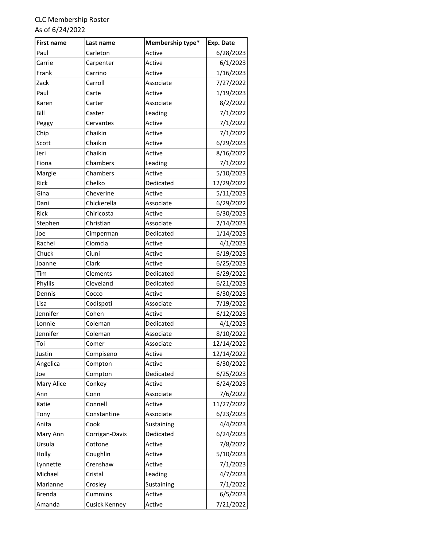| <b>First name</b> | Last name            | Membership type* | Exp. Date  |
|-------------------|----------------------|------------------|------------|
| Paul              | Carleton             | Active           | 6/28/2023  |
| Carrie            | Carpenter            | Active           | 6/1/2023   |
| Frank             | Carrino              | Active           | 1/16/2023  |
| Zack              | Carroll              | Associate        | 7/27/2022  |
| Paul              | Carte                | Active           | 1/19/2023  |
| Karen             | Carter               | Associate        | 8/2/2022   |
| Bill              | Caster               | Leading          | 7/1/2022   |
| Peggy             | Cervantes            | Active           | 7/1/2022   |
| Chip              | Chaikin              | Active           | 7/1/2022   |
| Scott             | Chaikin              | Active           | 6/29/2023  |
| Jeri              | Chaikin              | Active           | 8/16/2022  |
| Fiona             | Chambers             | Leading          | 7/1/2022   |
| Margie            | Chambers             | Active           | 5/10/2023  |
| Rick              | Chelko               | Dedicated        | 12/29/2022 |
| Gina              | Cheverine            | Active           | 5/11/2023  |
| Dani              | Chickerella          | Associate        | 6/29/2022  |
| Rick              | Chiricosta           | Active           | 6/30/2023  |
| Stephen           | Christian            | Associate        | 2/14/2023  |
| Joe               | Cimperman            | Dedicated        | 1/14/2023  |
| Rachel            | Ciomcia              | Active           | 4/1/2023   |
| Chuck             | Ciuni                | Active           | 6/19/2023  |
| Joanne            | Clark                | Active           | 6/25/2023  |
| Tim               | Clements             | Dedicated        | 6/29/2022  |
| Phyllis           | Cleveland            | Dedicated        | 6/21/2023  |
| Dennis            | Cocco                | Active           | 6/30/2023  |
| Lisa              | Codispoti            | Associate        | 7/19/2022  |
| Jennifer          | Cohen                | Active           | 6/12/2023  |
| Lonnie            | Coleman              | Dedicated        | 4/1/2023   |
| Jennifer          | Coleman              | Associate        | 8/10/2022  |
| Toi               | Comer                | Associate        | 12/14/2022 |
| Justin            | Compiseno            | Active           | 12/14/2022 |
| Angelica          | Compton              | Active           | 6/30/2022  |
| Joe               | Compton              | Dedicated        | 6/25/2023  |
| Mary Alice        | Conkey               | Active           | 6/24/2023  |
| Ann               | Conn                 | Associate        | 7/6/2022   |
| Katie             | Connell              | Active           | 11/27/2022 |
| Tony              | Constantine          | Associate        | 6/23/2023  |
| Anita             | Cook                 | Sustaining       | 4/4/2023   |
| Mary Ann          | Corrigan-Davis       | Dedicated        | 6/24/2023  |
| Ursula            | Cottone              | Active           | 7/8/2022   |
| Holly             | Coughlin             | Active           | 5/10/2023  |
| Lynnette          | Crenshaw             | Active           | 7/1/2023   |
| Michael           | Cristal              | Leading          | 4/7/2023   |
| Marianne          | Crosley              | Sustaining       | 7/1/2022   |
| <b>Brenda</b>     | Cummins              | Active           | 6/5/2023   |
| Amanda            | <b>Cusick Kenney</b> | Active           | 7/21/2022  |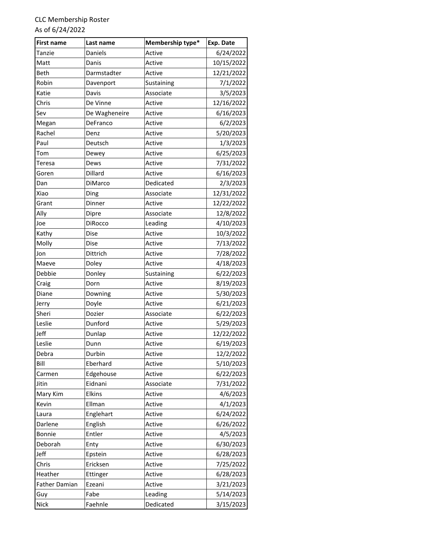| <b>First name</b>    | Last name      | Membership type* | Exp. Date  |
|----------------------|----------------|------------------|------------|
| Tanzie               | Daniels        | Active           | 6/24/2022  |
| Matt                 | Danis          | Active           | 10/15/2022 |
| <b>Beth</b>          | Darmstadter    | Active           | 12/21/2022 |
| Robin                | Davenport      | Sustaining       | 7/1/2022   |
| Katie                | Davis          | Associate        | 3/5/2023   |
| Chris                | De Vinne       | Active           | 12/16/2022 |
| Sev                  | De Wagheneire  | Active           | 6/16/2023  |
| Megan                | DeFranco       | Active           | 6/2/2023   |
| Rachel               | Denz           | Active           | 5/20/2023  |
| Paul                 | Deutsch        | Active           | 1/3/2023   |
| Tom                  | Dewey          | Active           | 6/25/2023  |
| Teresa               | Dews           | Active           | 7/31/2022  |
| Goren                | Dillard        | Active           | 6/16/2023  |
| Dan                  | DiMarco        | Dedicated        | 2/3/2023   |
| Xiao                 | Ding           | Associate        | 12/31/2022 |
| Grant                | Dinner         | Active           | 12/22/2022 |
| Ally                 | Dipre          | Associate        | 12/8/2022  |
| Joe                  | <b>DiRocco</b> | Leading          | 4/10/2023  |
| Kathy                | Dise           | Active           | 10/3/2022  |
| Molly                | Dise           | Active           | 7/13/2022  |
| Jon                  | Dittrich       | Active           | 7/28/2022  |
| Maeve                | Doley          | Active           | 4/18/2023  |
| Debbie               | Donley         | Sustaining       | 6/22/2023  |
| Craig                | Dorn           | Active           | 8/19/2023  |
| Diane                | Downing        | Active           | 5/30/2023  |
| Jerry                | Doyle          | Active           | 6/21/2023  |
| Sheri                | Dozier         | Associate        | 6/22/2023  |
| Leslie               | Dunford        | Active           | 5/29/2023  |
| Jeff                 | Dunlap         | Active           | 12/22/2022 |
| Leslie               | Dunn           | Active           | 6/19/2023  |
| Debra                | Durbin         | Active           | 12/2/2022  |
| Bill                 | Eberhard       | Active           | 5/10/2023  |
| Carmen               | Edgehouse      | Active           | 6/22/2023  |
| Jitin                | Eidnani        | Associate        | 7/31/2022  |
| Mary Kim             | Elkins         | Active           | 4/6/2023   |
| Kevin                | Ellman         | Active           | 4/1/2023   |
| Laura                | Englehart      | Active           | 6/24/2022  |
| Darlene              | English        | Active           | 6/26/2022  |
| Bonnie               | Entler         | Active           | 4/5/2023   |
| Deborah              | Enty           | Active           | 6/30/2023  |
| Jeff                 | Epstein        | Active           | 6/28/2023  |
| Chris                | Ericksen       | Active           | 7/25/2022  |
| Heather              | Ettinger       | Active           | 6/28/2023  |
| <b>Father Damian</b> | Ezeani         | Active           | 3/21/2023  |
| Guy                  | Fabe           | Leading          | 5/14/2023  |
| Nick                 | Faehnle        | Dedicated        | 3/15/2023  |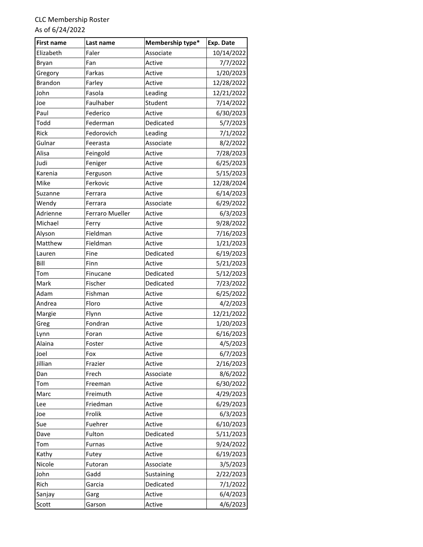| <b>First name</b> | Last name              | Membership type* | Exp. Date  |
|-------------------|------------------------|------------------|------------|
| Elizabeth         | Faler                  | Associate        | 10/14/2022 |
| Bryan             | Fan                    | Active           | 7/7/2022   |
| Gregory           | Farkas                 | Active           | 1/20/2023  |
| <b>Brandon</b>    | Farley                 | Active           | 12/28/2022 |
| John              | Fasola                 | Leading          | 12/21/2022 |
| Joe               | Faulhaber              | Student          | 7/14/2022  |
| Paul              | Federico               | Active           | 6/30/2023  |
| Todd              | Federman               | Dedicated        | 5/7/2023   |
| Rick              | Fedorovich             | Leading          | 7/1/2022   |
| Gulnar            | Feerasta               | Associate        | 8/2/2022   |
| Alisa             | Feingold               | Active           | 7/28/2023  |
| Judi              | Feniger                | Active           | 6/25/2023  |
| Karenia           | Ferguson               | Active           | 5/15/2023  |
| Mike              | Ferkovic               | Active           | 12/28/2024 |
| Suzanne           | Ferrara                | Active           | 6/14/2023  |
| Wendy             | Ferrara                | Associate        | 6/29/2022  |
| Adrienne          | <b>Ferraro Mueller</b> | Active           | 6/3/2023   |
| Michael           | Ferry                  | Active           | 9/28/2022  |
| Alyson            | Fieldman               | Active           | 7/16/2023  |
| Matthew           | Fieldman               | Active           | 1/21/2023  |
| Lauren            | Fine                   | Dedicated        | 6/19/2023  |
| Bill              | Finn                   | Active           | 5/21/2023  |
| Tom               | Finucane               | Dedicated        | 5/12/2023  |
| Mark              | Fischer                | Dedicated        | 7/23/2022  |
| Adam              | Fishman                | Active           | 6/25/2022  |
| Andrea            | Floro                  | Active           | 4/2/2023   |
| Margie            | Flynn                  | Active           | 12/21/2022 |
| Greg              | Fondran                | Active           | 1/20/2023  |
| Lynn              | Foran                  | Active           | 6/16/2023  |
| Alaina            | Foster                 | Active           | 4/5/2023   |
| Joel              | Fox                    | Active           | 6/7/2023   |
| Jillian           | Frazier                | Active           | 2/16/2023  |
| Dan               | Frech                  | Associate        | 8/6/2022   |
| Tom               | Freeman                | Active           | 6/30/2022  |
| Marc              | Freimuth               | Active           | 4/29/2023  |
| Lee               | Friedman               | Active           | 6/29/2023  |
| Joe               | Frolik                 | Active           | 6/3/2023   |
| Sue               | Fuehrer                | Active           | 6/10/2023  |
| Dave              | Fulton                 | Dedicated        | 5/11/2023  |
| Tom               | <b>Furnas</b>          | Active           | 9/24/2022  |
| Kathy             | Futey                  | Active           | 6/19/2023  |
| Nicole            | Futoran                | Associate        | 3/5/2023   |
| John              | Gadd                   | Sustaining       | 2/22/2023  |
| Rich              | Garcia                 | Dedicated        | 7/1/2022   |
| Sanjay            | Garg                   | Active           | 6/4/2023   |
| Scott             | Garson                 | Active           | 4/6/2023   |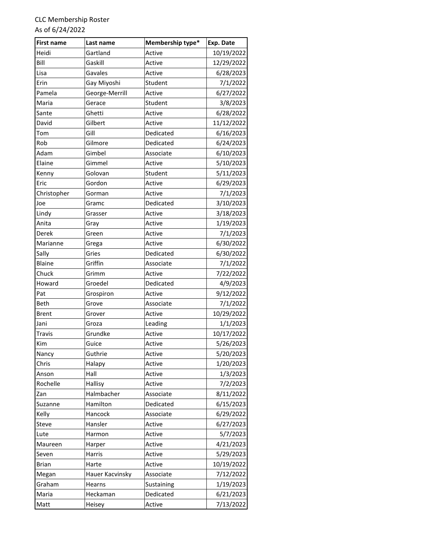| <b>First name</b> | Last name       | Membership type* | Exp. Date  |
|-------------------|-----------------|------------------|------------|
| Heidi             | Gartland        | Active           | 10/19/2022 |
| Bill              | Gaskill         | Active           | 12/29/2022 |
| Lisa              | Gavales         | Active           | 6/28/2023  |
| Erin              | Gay Miyoshi     | Student          | 7/1/2022   |
| Pamela            | George-Merrill  | Active           | 6/27/2022  |
| Maria             | Gerace          | Student          | 3/8/2023   |
| Sante             | Ghetti          | Active           | 6/28/2022  |
| David             | Gilbert         | Active           | 11/12/2022 |
| Tom               | Gill            | Dedicated        | 6/16/2023  |
| Rob               | Gilmore         | Dedicated        | 6/24/2023  |
| Adam              | Gimbel          | Associate        | 6/10/2023  |
| Elaine            | Gimmel          | Active           | 5/10/2023  |
| Kenny             | Golovan         | Student          | 5/11/2023  |
| Eric              | Gordon          | Active           | 6/29/2023  |
| Christopher       | Gorman          | Active           | 7/1/2023   |
| Joe               | Gramc           | Dedicated        | 3/10/2023  |
| Lindy             | Grasser         | Active           | 3/18/2023  |
| Anita             | Gray            | Active           | 1/19/2023  |
| Derek             | Green           | Active           | 7/1/2023   |
| Marianne          | Grega           | Active           | 6/30/2022  |
| Sally             | Gries           | Dedicated        | 6/30/2022  |
| <b>Blaine</b>     | Griffin         | Associate        | 7/1/2022   |
| Chuck             | Grimm           | Active           | 7/22/2022  |
| Howard            | Groedel         | Dedicated        | 4/9/2023   |
| Pat               | Grospiron       | Active           | 9/12/2022  |
| <b>Beth</b>       | Grove           | Associate        | 7/1/2022   |
| <b>Brent</b>      | Grover          | Active           | 10/29/2022 |
| Jani              | Groza           | Leading          | 1/1/2023   |
| Travis            | Grundke         | Active           | 10/17/2022 |
| Kim               | Guice           | Active           | 5/26/2023  |
| Nancy             | Guthrie         | Active           | 5/20/2023  |
| Chris             | Halapy          | Active           | 1/20/2023  |
| Anson             | Hall            | Active           | 1/3/2023   |
| Rochelle          | Hallisy         | Active           | 7/2/2023   |
| Zan               | Halmbacher      | Associate        | 8/11/2022  |
| Suzanne           | Hamilton        | Dedicated        | 6/15/2023  |
| Kelly             | Hancock         | Associate        | 6/29/2022  |
| Steve             | Hansler         | Active           | 6/27/2023  |
| Lute              | Harmon          | Active           | 5/7/2023   |
| Maureen           | Harper          | Active           | 4/21/2023  |
| Seven             | Harris          | Active           | 5/29/2023  |
| <b>Brian</b>      | Harte           | Active           | 10/19/2022 |
| Megan             | Hauer Kacvinsky | Associate        | 7/12/2022  |
| Graham            | Hearns          | Sustaining       | 1/19/2023  |
| Maria             | Heckaman        | Dedicated        | 6/21/2023  |
| Matt              | Heisey          | Active           | 7/13/2022  |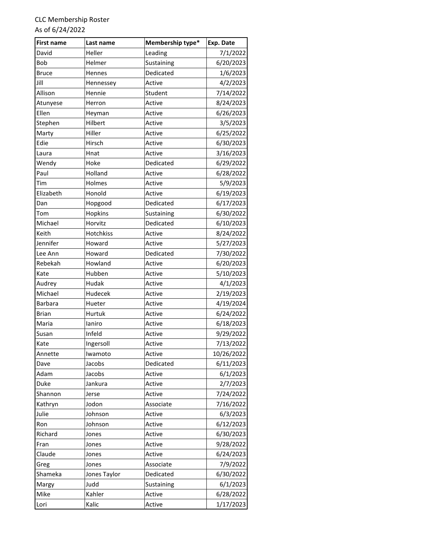| <b>First name</b> | Last name    | Membership type* | Exp. Date  |
|-------------------|--------------|------------------|------------|
| David             | Heller       | Leading          | 7/1/2022   |
| Bob               | Helmer       | Sustaining       | 6/20/2023  |
| <b>Bruce</b>      | Hennes       | Dedicated        | 1/6/2023   |
| Jill              | Hennessey    | Active           | 4/2/2023   |
| Allison           | Hennie       | Student          | 7/14/2022  |
| Atunyese          | Herron       | Active           | 8/24/2023  |
| Ellen             | Heyman       | Active           | 6/26/2023  |
| Stephen           | Hilbert      | Active           | 3/5/2023   |
| Marty             | Hiller       | Active           | 6/25/2022  |
| Edie              | Hirsch       | Active           | 6/30/2023  |
| Laura             | Hnat         | Active           | 3/16/2023  |
| Wendy             | Hoke         | Dedicated        | 6/29/2022  |
| Paul              | Holland      | Active           | 6/28/2022  |
| Tim               | Holmes       | Active           | 5/9/2023   |
| Elizabeth         | Honold       | Active           | 6/19/2023  |
| Dan               | Hopgood      | Dedicated        | 6/17/2023  |
| Tom               | Hopkins      | Sustaining       | 6/30/2022  |
| Michael           | Horvitz      | Dedicated        | 6/10/2023  |
| Keith             | Hotchkiss    | Active           | 8/24/2022  |
| Jennifer          | Howard       | Active           | 5/27/2023  |
| Lee Ann           | Howard       | Dedicated        | 7/30/2022  |
| Rebekah           | Howland      | Active           | 6/20/2023  |
| Kate              | Hubben       | Active           | 5/10/2023  |
| Audrey            | Hudak        | Active           | 4/1/2023   |
| Michael           | Hudecek      | Active           | 2/19/2023  |
| <b>Barbara</b>    | Hueter       | Active           | 4/19/2024  |
| <b>Brian</b>      | Hurtuk       | Active           | 6/24/2022  |
| Maria             | laniro       | Active           | 6/18/2023  |
| Susan             | Infeld       | Active           | 9/29/2022  |
| Kate              | Ingersoll    | Active           | 7/13/2022  |
| Annette           | Iwamoto      | Active           | 10/26/2022 |
| Dave              | Jacobs       | Dedicated        | 6/11/2023  |
| Adam              | Jacobs       | Active           | 6/1/2023   |
| Duke              | Jankura      | Active           | 2/7/2023   |
| Shannon           | Jerse        | Active           | 7/24/2022  |
| Kathryn           | Jodon        | Associate        | 7/16/2022  |
| Julie             | Johnson      | Active           | 6/3/2023   |
| Ron               | Johnson      | Active           | 6/12/2023  |
| Richard           | Jones        | Active           | 6/30/2023  |
| Fran              | Jones        | Active           | 9/28/2022  |
| Claude            | Jones        | Active           | 6/24/2023  |
| Greg              | Jones        | Associate        | 7/9/2022   |
| Shameka           | Jones Taylor | Dedicated        | 6/30/2022  |
| Margy             | Judd         | Sustaining       | 6/1/2023   |
| Mike              | Kahler       | Active           | 6/28/2022  |
| Lori              | Kalic        | Active           | 1/17/2023  |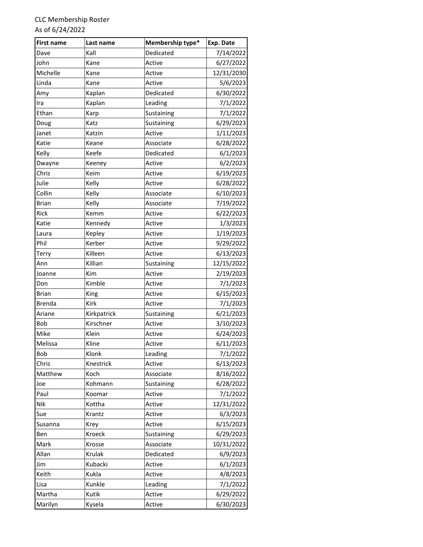| <b>First name</b> | Last name   | Membership type* | Exp. Date  |
|-------------------|-------------|------------------|------------|
| Dave              | Kall        | Dedicated        | 7/14/2022  |
| John              | Kane        | Active           | 6/27/2022  |
| Michelle          | Kane        | Active           | 12/31/2030 |
| Linda             | Kane        | Active           | 5/6/2023   |
| Amy               | Kaplan      | Dedicated        | 6/30/2022  |
| Ira               | Kaplan      | Leading          | 7/1/2022   |
| Ethan             | Karp        | Sustaining       | 7/1/2022   |
| Doug              | Katz        | Sustaining       | 6/29/2023  |
| Janet             | Katzin      | Active           | 1/11/2023  |
| Katie             | Keane       | Associate        | 6/28/2022  |
| Kelly             | Keefe       | Dedicated        | 6/1/2023   |
| Dwayne            | Keeney      | Active           | 6/2/2023   |
| Chris             | Keim        | Active           | 6/19/2023  |
| Julie             | Kelly       | Active           | 6/28/2022  |
| Collin            | Kelly       | Associate        | 6/10/2023  |
| <b>Brian</b>      | Kelly       | Associate        | 7/19/2022  |
| Rick              | Kemm        | Active           | 6/22/2023  |
| Katie             | Kennedy     | Active           | 1/3/2023   |
| Laura             | Kepley      | Active           | 1/19/2023  |
| Phil              | Kerber      | Active           | 9/29/2022  |
| Terry             | Killeen     | Active           | 6/13/2023  |
| Ann               | Killian     | Sustaining       | 12/15/2022 |
| Joanne            | Kim         | Active           | 2/19/2023  |
| Don               | Kimble      | Active           | 7/1/2023   |
| <b>Brian</b>      | King        | Active           | 6/15/2023  |
| <b>Brenda</b>     | Kirk        | Active           | 7/1/2023   |
| Ariane            | Kirkpatrick | Sustaining       | 6/21/2023  |
| Bob               | Kirschner   | Active           | 3/10/2023  |
| Mike              | Klein       | Active           | 6/24/2023  |
| Melissa           | Kline       | Active           | 6/11/2023  |
| Bob               | Klonk       | Leading          | 7/1/2022   |
| Chris             | Knestrick   | Active           | 6/13/2023  |
| Matthew           | Koch        | Associate        | 8/16/2022  |
| Joe               | Kohmann     | Sustaining       | 6/28/2022  |
| Paul              | Koomar      | Active           | 7/1/2022   |
| Nik               | Kottha      | Active           | 12/31/2022 |
| Sue               | Krantz      | Active           | 6/3/2023   |
| Susanna           | Krey        | Active           | 6/15/2023  |
| Ben               | Kroeck      | Sustaining       | 6/29/2023  |
| Mark              | Krosse      | Associate        | 10/31/2022 |
| Allan             | Krulak      | Dedicated        | 6/9/2023   |
| Jim               | Kubacki     | Active           | 6/1/2023   |
| Keith             | Kukla       | Active           | 4/8/2023   |
| Lisa              | Kunkle      | Leading          | 7/1/2022   |
| Martha            | Kutik       | Active           | 6/29/2022  |
| Marilyn           | Kysela      | Active           | 6/30/2023  |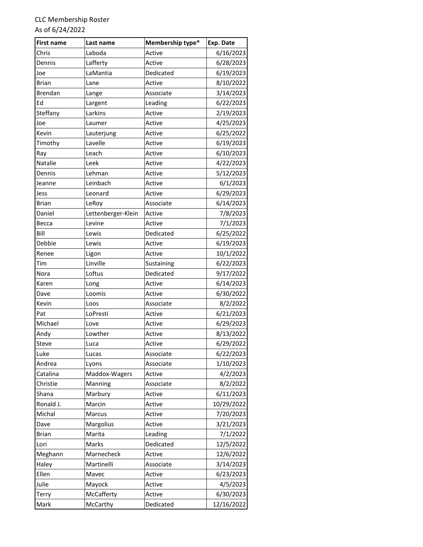| <b>First name</b> | Last name          | Membership type* | Exp. Date  |
|-------------------|--------------------|------------------|------------|
| Chris             | Laboda             | Active           | 6/16/2023  |
| Dennis            | Lafferty           | Active           | 6/28/2023  |
| Joe               | LaMantia           | Dedicated        | 6/19/2023  |
| <b>Brian</b>      | Lane               | Active           | 8/10/2022  |
| <b>Brendan</b>    | Lange              | Associate        | 3/14/2023  |
| Ed                | Largent            | Leading          | 6/22/2023  |
| Steffany          | Larkins            | Active           | 2/19/2023  |
| Joe               | Laumer             | Active           | 4/25/2023  |
| Kevin             | Lauterjung         | Active           | 6/25/2022  |
| Timothy           | Lavelle            | Active           | 6/19/2023  |
| Ray               | Leach              | Active           | 6/10/2023  |
| Natalie           | Leek               | Active           | 4/22/2023  |
| Dennis            | Lehman             | Active           | 5/12/2023  |
| Jeanne            | Leinbach           | Active           | 6/1/2023   |
| Jess              | Leonard            | Active           | 6/29/2023  |
| <b>Brian</b>      | LeRoy              | Associate        | 6/14/2023  |
| Daniel            | Lettenberger-Klein | Active           | 7/8/2023   |
| Becca             | Levine             | Active           | 7/1/2023   |
| Bill              | Lewis              | Dedicated        | 6/25/2022  |
| Debbie            | Lewis              | Active           | 6/19/2023  |
| Renee             | Ligon              | Active           | 10/1/2022  |
| Tim               | Linville           | Sustaining       | 6/22/2023  |
| Nora              | Loftus             | Dedicated        | 9/17/2022  |
| Karen             | Long               | Active           | 6/14/2023  |
| Dave              | Loomis             | Active           | 6/30/2022  |
| Kevin             | Loos               | Associate        | 8/2/2022   |
| Pat               | LoPresti           | Active           | 6/21/2023  |
| Michael           | Love               | Active           | 6/29/2023  |
| Andy              | Lowther            | Active           | 8/13/2022  |
| Steve             | Luca               | Active           | 6/29/2022  |
| Luke              | Lucas              | Associate        | 6/22/2023  |
| Andrea            | Lyons              | Associate        | 1/10/2023  |
| Catalina          | Maddox-Wagers      | Active           | 4/2/2023   |
| Christie          | Manning            | Associate        | 8/2/2022   |
| Shana             | Marbury            | Active           | 6/11/2023  |
| Ronald J.         | Marcin             | Active           | 10/29/2022 |
| Michal            | Marcus             | Active           | 7/20/2023  |
| Dave              | Margolius          | Active           | 3/21/2023  |
| <b>Brian</b>      | Marita             | Leading          | 7/1/2022   |
| Lori              | Marks              | Dedicated        | 12/5/2022  |
| Meghann           | Marnecheck         | Active           | 12/6/2022  |
| Haley             | Martinelli         | Associate        | 3/14/2023  |
| Ellen             | Mavec              | Active           | 6/23/2023  |
| Julie             | Mayock             | Active           | 4/5/2023   |
| Terry             | McCafferty         | Active           | 6/30/2023  |
| Mark              | McCarthy           | Dedicated        | 12/16/2022 |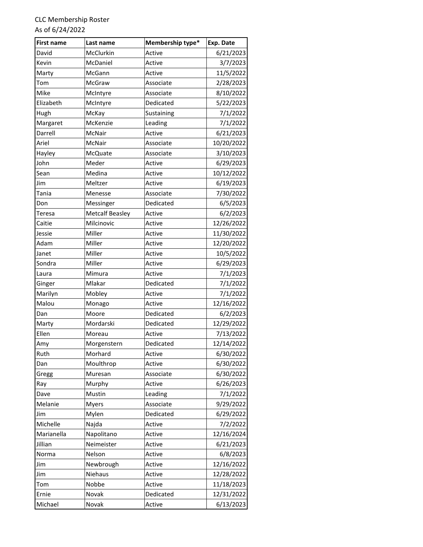| <b>First name</b> | Last name              | Membership type* | Exp. Date  |
|-------------------|------------------------|------------------|------------|
| David             | McClurkin              | Active           | 6/21/2023  |
| Kevin             | McDaniel               | Active           | 3/7/2023   |
| Marty             | McGann                 | Active           | 11/5/2022  |
| Tom               | McGraw                 | Associate        | 2/28/2023  |
| Mike              | McIntyre               | Associate        | 8/10/2022  |
| Elizabeth         | McIntyre               | Dedicated        | 5/22/2023  |
| Hugh              | McKay                  | Sustaining       | 7/1/2022   |
| Margaret          | McKenzie               | Leading          | 7/1/2022   |
| Darrell           | McNair                 | Active           | 6/21/2023  |
| Ariel             | McNair                 | Associate        | 10/20/2022 |
| Hayley            | McQuate                | Associate        | 3/10/2023  |
| John              | Meder                  | Active           | 6/29/2023  |
| Sean              | Medina                 | Active           | 10/12/2022 |
| Jim               | Meltzer                | Active           | 6/19/2023  |
| Tania             | Menesse                | Associate        | 7/30/2022  |
| Don               | Messinger              | Dedicated        | 6/5/2023   |
| Teresa            | <b>Metcalf Beasley</b> | Active           | 6/2/2023   |
| Caitie            | Milcinovic             | Active           | 12/26/2022 |
| Jessie            | Miller                 | Active           | 11/30/2022 |
| Adam              | Miller                 | Active           | 12/20/2022 |
| Janet             | Miller                 | Active           | 10/5/2022  |
| Sondra            | Miller                 | Active           | 6/29/2023  |
| Laura             | Mimura                 | Active           | 7/1/2023   |
| Ginger            | Mlakar                 | Dedicated        | 7/1/2022   |
| Marilyn           | Mobley                 | Active           | 7/1/2022   |
| Malou             | Monago                 | Active           | 12/16/2022 |
| Dan               | Moore                  | Dedicated        | 6/2/2023   |
| Marty             | Mordarski              | Dedicated        | 12/29/2022 |
| Ellen             | Moreau                 | Active           | 7/13/2022  |
| Amy               | Morgenstern            | Dedicated        | 12/14/2022 |
| Ruth              | Morhard                | Active           | 6/30/2022  |
| Dan               | Moulthrop              | Active           | 6/30/2022  |
| Gregg             | Muresan                | Associate        | 6/30/2022  |
| Ray               | Murphy                 | Active           | 6/26/2023  |
| Dave              | Mustin                 | Leading          | 7/1/2022   |
| Melanie           | <b>Myers</b>           | Associate        | 9/29/2022  |
| Jim               | Mylen                  | Dedicated        | 6/29/2022  |
| Michelle          | Najda                  | Active           | 7/2/2022   |
| Marianella        | Napolitano             | Active           | 12/16/2024 |
| Jillian           | Neimeister             | Active           | 6/21/2023  |
| Norma             | Nelson                 | Active           | 6/8/2023   |
| Jim               | Newbrough              | Active           | 12/16/2022 |
| Jim               | Niehaus                | Active           | 12/28/2022 |
| Tom               | Nobbe                  | Active           | 11/18/2023 |
| Ernie             | Novak                  | Dedicated        | 12/31/2022 |
| Michael           | Novak                  | Active           | 6/13/2023  |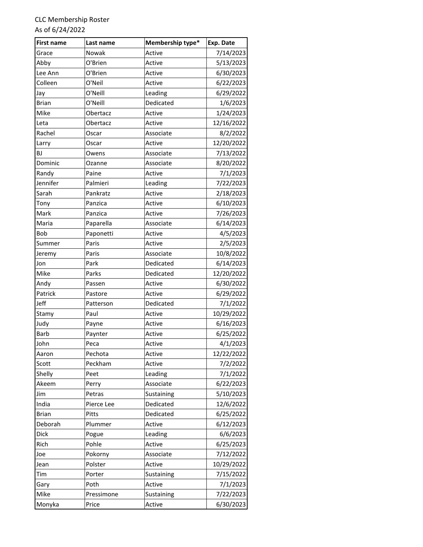| <b>First name</b> | Last name  | Membership type* | Exp. Date  |
|-------------------|------------|------------------|------------|
| Grace             | Nowak      | Active           | 7/14/2023  |
| Abby              | O'Brien    | Active           | 5/13/2023  |
| Lee Ann           | O'Brien    | Active           | 6/30/2023  |
| Colleen           | O'Neil     | Active           | 6/22/2023  |
| Jay               | O'Neill    | Leading          | 6/29/2022  |
| <b>Brian</b>      | O'Neill    | Dedicated        | 1/6/2023   |
| Mike              | Obertacz   | Active           | 1/24/2023  |
| Leta              | Obertacz   | Active           | 12/16/2022 |
| Rachel            | Oscar      | Associate        | 8/2/2022   |
| Larry             | Oscar      | Active           | 12/20/2022 |
| BJ                | Owens      | Associate        | 7/13/2022  |
| Dominic           | Ozanne     | Associate        | 8/20/2022  |
| Randy             | Paine      | Active           | 7/1/2023   |
| Jennifer          | Palmieri   | Leading          | 7/22/2023  |
| Sarah             | Pankratz   | Active           | 2/18/2023  |
| Tony              | Panzica    | Active           | 6/10/2023  |
| Mark              | Panzica    | Active           | 7/26/2023  |
| Maria             | Paparella  | Associate        | 6/14/2023  |
| Bob               | Paponetti  | Active           | 4/5/2023   |
| Summer            | Paris      | Active           | 2/5/2023   |
| Jeremy            | Paris      | Associate        | 10/8/2022  |
| Jon               | Park       | Dedicated        | 6/14/2023  |
| Mike              | Parks      | Dedicated        | 12/20/2022 |
| Andy              | Passen     | Active           | 6/30/2022  |
| Patrick           | Pastore    | Active           | 6/29/2022  |
| <b>Jeff</b>       | Patterson  | Dedicated        | 7/1/2022   |
| Stamy             | Paul       | Active           | 10/29/2022 |
| Judy              | Payne      | Active           | 6/16/2023  |
| <b>Barb</b>       | Paynter    | Active           | 6/25/2022  |
| John              | Peca       | Active           | 4/1/2023   |
| Aaron             | Pechota    | Active           | 12/22/2022 |
| Scott             | Peckham    | Active           | 7/2/2022   |
| Shelly            | Peet       | Leading          | 7/1/2022   |
| Akeem             | Perry      | Associate        | 6/22/2023  |
| Jim               | Petras     | Sustaining       | 5/10/2023  |
| India             | Pierce Lee | Dedicated        | 12/6/2022  |
| <b>Brian</b>      | Pitts      | Dedicated        | 6/25/2022  |
| Deborah           | Plummer    | Active           | 6/12/2023  |
| Dick              | Pogue      | Leading          | 6/6/2023   |
| Rich              | Pohle      | Active           | 6/25/2023  |
| Joe               | Pokorny    | Associate        | 7/12/2022  |
| Jean              | Polster    | Active           | 10/29/2022 |
| Tim               | Porter     | Sustaining       | 7/15/2022  |
| Gary              | Poth       | Active           | 7/1/2023   |
| Mike              | Pressimone | Sustaining       | 7/22/2023  |
| Monyka            | Price      | Active           | 6/30/2023  |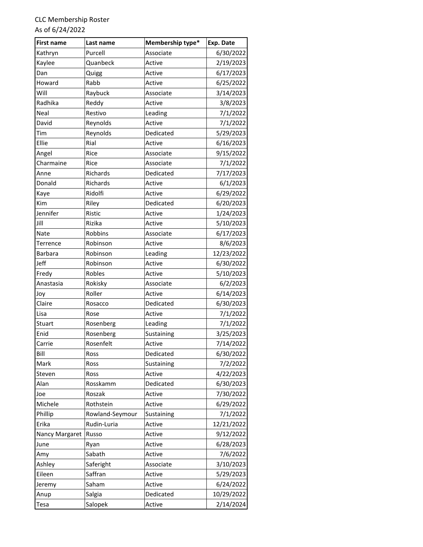| <b>First name</b> | Last name       | Membership type* | Exp. Date  |
|-------------------|-----------------|------------------|------------|
| Kathryn           | Purcell         | Associate        | 6/30/2022  |
| Kaylee            | Quanbeck        | Active           | 2/19/2023  |
| Dan               | Quigg           | Active           | 6/17/2023  |
| Howard            | Rabb            | Active           | 6/25/2022  |
| Will              | Raybuck         | Associate        | 3/14/2023  |
| Radhika           | Reddy           | Active           | 3/8/2023   |
| Neal              | Restivo         | Leading          | 7/1/2022   |
| David             | Reynolds        | Active           | 7/1/2022   |
| Tim               | Reynolds        | Dedicated        | 5/29/2023  |
| Ellie             | Rial            | Active           | 6/16/2023  |
| Angel             | Rice            | Associate        | 9/15/2022  |
| Charmaine         | Rice            | Associate        | 7/1/2022   |
| Anne              | Richards        | Dedicated        | 7/17/2023  |
| Donald            | Richards        | Active           | 6/1/2023   |
| Kaye              | Ridolfi         | Active           | 6/29/2022  |
| Kim               | Riley           | Dedicated        | 6/20/2023  |
| Jennifer          | Ristic          | Active           | 1/24/2023  |
| Jill              | Rizika          | Active           | 5/10/2023  |
| <b>Nate</b>       | Robbins         | Associate        | 6/17/2023  |
| Terrence          | Robinson        | Active           | 8/6/2023   |
| <b>Barbara</b>    | Robinson        | Leading          | 12/23/2022 |
| Jeff              | Robinson        | Active           | 6/30/2022  |
| Fredy             | Robles          | Active           | 5/10/2023  |
| Anastasia         | Rokisky         | Associate        | 6/2/2023   |
| Joy               | Roller          | Active           | 6/14/2023  |
| Claire            | Rosacco         | Dedicated        | 6/30/2023  |
| Lisa              | Rose            | Active           | 7/1/2022   |
| Stuart            | Rosenberg       | Leading          | 7/1/2022   |
| Enid              | Rosenberg       | Sustaining       | 3/25/2023  |
| Carrie            | Rosenfelt       | Active           | 7/14/2022  |
| Bill              | Ross            | Dedicated        | 6/30/2022  |
| Mark              | Ross            | Sustaining       | 7/2/2022   |
| Steven            | Ross            | Active           | 4/22/2023  |
| Alan              | Rosskamm        | Dedicated        | 6/30/2023  |
| Joe               | Roszak          | Active           | 7/30/2022  |
| Michele           | Rothstein       | Active           | 6/29/2022  |
| Phillip           | Rowland-Seymour | Sustaining       | 7/1/2022   |
| Erika             | Rudin-Luria     | Active           | 12/21/2022 |
| Nancy Margaret    | Russo           | Active           | 9/12/2022  |
| June              | Ryan            | Active           | 6/28/2023  |
| Amy               | Sabath          | Active           | 7/6/2022   |
| Ashley            | Saferight       | Associate        | 3/10/2023  |
| Eileen            | Saffran         | Active           | 5/29/2023  |
| Jeremy            | Saham           | Active           | 6/24/2022  |
| Anup              | Salgia          | Dedicated        | 10/29/2022 |
| Tesa              | Salopek         | Active           | 2/14/2024  |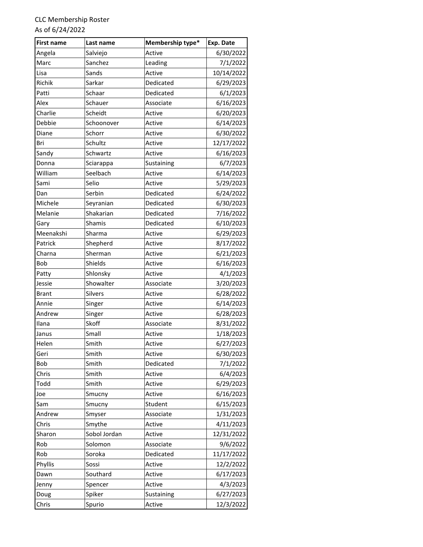| <b>First name</b> | Last name    | Membership type* | Exp. Date  |
|-------------------|--------------|------------------|------------|
| Angela            | Salviejo     | Active           | 6/30/2022  |
| Marc              | Sanchez      | Leading          | 7/1/2022   |
| Lisa              | Sands        | Active           | 10/14/2022 |
| Richik            | Sarkar       | Dedicated        | 6/29/2023  |
| Patti             | Schaar       | Dedicated        | 6/1/2023   |
| Alex              | Schauer      | Associate        | 6/16/2023  |
| Charlie           | Scheidt      | Active           | 6/20/2023  |
| Debbie            | Schoonover   | Active           | 6/14/2023  |
| Diane             | Schorr       | Active           | 6/30/2022  |
| Bri               | Schultz      | Active           | 12/17/2022 |
| Sandy             | Schwartz     | Active           | 6/16/2023  |
| Donna             | Sciarappa    | Sustaining       | 6/7/2023   |
| William           | Seelbach     | Active           | 6/14/2023  |
| Sami              | Selio        | Active           | 5/29/2023  |
| Dan               | Serbin       | Dedicated        | 6/24/2022  |
| Michele           | Seyranian    | Dedicated        | 6/30/2023  |
| Melanie           | Shakarian    | Dedicated        | 7/16/2022  |
| Gary              | Shamis       | Dedicated        | 6/10/2023  |
| Meenakshi         | Sharma       | Active           | 6/29/2023  |
| Patrick           | Shepherd     | Active           | 8/17/2022  |
| Charna            | Sherman      | Active           | 6/21/2023  |
| Bob               | Shields      | Active           | 6/16/2023  |
| Patty             | Shlonsky     | Active           | 4/1/2023   |
| Jessie            | Showalter    | Associate        | 3/20/2023  |
| <b>Brant</b>      | Silvers      | Active           | 6/28/2022  |
| Annie             | Singer       | Active           | 6/14/2023  |
| Andrew            | Singer       | Active           | 6/28/2023  |
| Ilana             | Skoff        | Associate        | 8/31/2022  |
| Janus             | Small        | Active           | 1/18/2023  |
| Helen             | Smith        | Active           | 6/27/2023  |
| Geri              | Smith        | Active           | 6/30/2023  |
| Bob               | Smith        | Dedicated        | 7/1/2022   |
| Chris             | Smith        | Active           | 6/4/2023   |
| Todd              | Smith        | Active           | 6/29/2023  |
| Joe               | Smucny       | Active           | 6/16/2023  |
| Sam               | Smucny       | Student          | 6/15/2023  |
| Andrew            | Smyser       | Associate        | 1/31/2023  |
| Chris             | Smythe       | Active           | 4/11/2023  |
| Sharon            | Sobol Jordan | Active           | 12/31/2022 |
| Rob               | Solomon      | Associate        | 9/6/2022   |
| Rob               | Soroka       | Dedicated        | 11/17/2022 |
| Phyllis           | Sossi        | Active           | 12/2/2022  |
| Dawn              | Southard     | Active           | 6/17/2023  |
| Jenny             | Spencer      | Active           | 4/3/2023   |
| Doug              | Spiker       | Sustaining       | 6/27/2023  |
| Chris             | Spurio       | Active           | 12/3/2022  |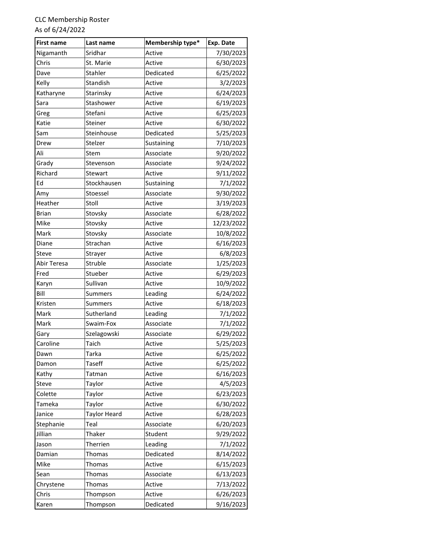| <b>First name</b> | Last name           | Membership type* | Exp. Date  |
|-------------------|---------------------|------------------|------------|
| Nigamanth         | Sridhar             | Active           | 7/30/2023  |
| Chris             | St. Marie           | Active           | 6/30/2023  |
| Dave              | Stahler             | Dedicated        | 6/25/2022  |
| Kelly             | Standish            | Active           | 3/2/2023   |
| Katharyne         | Starinsky           | Active           | 6/24/2023  |
| Sara              | Stashower           | Active           | 6/19/2023  |
| Greg              | Stefani             | Active           | 6/25/2023  |
| Katie             | Steiner             | Active           | 6/30/2022  |
| Sam               | Steinhouse          | Dedicated        | 5/25/2023  |
| Drew              | Stelzer             | Sustaining       | 7/10/2023  |
| Ali               | Stem                | Associate        | 9/20/2022  |
| Grady             | Stevenson           | Associate        | 9/24/2022  |
| Richard           | Stewart             | Active           | 9/11/2022  |
| Ed                | Stockhausen         | Sustaining       | 7/1/2022   |
| Amy               | Stoessel            | Associate        | 9/30/2022  |
| Heather           | Stoll               | Active           | 3/19/2023  |
| <b>Brian</b>      | Stovsky             | Associate        | 6/28/2022  |
| Mike              | Stovsky             | Active           | 12/23/2022 |
| Mark              | Stovsky             | Associate        | 10/8/2022  |
| Diane             | Strachan            | Active           | 6/16/2023  |
| Steve             | Strayer             | Active           | 6/8/2023   |
| Abir Teresa       | Struble             | Associate        | 1/25/2023  |
| Fred              | Stueber             | Active           | 6/29/2023  |
| Karyn             | Sullivan            | Active           | 10/9/2022  |
| Bill              | Summers             | Leading          | 6/24/2022  |
| Kristen           | Summers             | Active           | 6/18/2023  |
| Mark              | Sutherland          | Leading          | 7/1/2022   |
| Mark              | Swaim-Fox           | Associate        | 7/1/2022   |
| Gary              | Szelagowski         | Associate        | 6/29/2022  |
| Caroline          | Taich               | Active           | 5/25/2023  |
| Dawn              | Tarka               | Active           | 6/25/2022  |
| Damon             | <b>Taseff</b>       | Active           | 6/25/2022  |
| Kathy             | Tatman              | Active           | 6/16/2023  |
| Steve             | Taylor              | Active           | 4/5/2023   |
| Colette           | Taylor              | Active           | 6/23/2023  |
| Tameka            | Taylor              | Active           | 6/30/2022  |
| Janice            | <b>Taylor Heard</b> | Active           | 6/28/2023  |
| Stephanie         | Teal                | Associate        | 6/20/2023  |
| Jillian           | Thaker              | Student          | 9/29/2022  |
| Jason             | Therrien            | Leading          | 7/1/2022   |
| Damian            | Thomas              | Dedicated        | 8/14/2022  |
| Mike              | Thomas              | Active           | 6/15/2023  |
| Sean              | Thomas              | Associate        | 6/13/2023  |
| Chrystene         | Thomas              | Active           | 7/13/2022  |
| Chris             | Thompson            | Active           | 6/26/2023  |
| Karen             | Thompson            | Dedicated        | 9/16/2023  |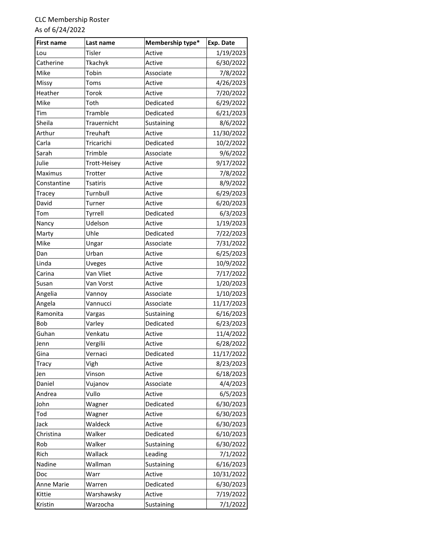| <b>First name</b> | Last name       | Membership type* | Exp. Date  |
|-------------------|-----------------|------------------|------------|
| Lou               | Tisler          | Active           | 1/19/2023  |
| Catherine         | Tkachyk         | Active           | 6/30/2022  |
| Mike              | Tobin           | Associate        | 7/8/2022   |
| Missy             | Toms            | Active           | 4/26/2023  |
| Heather           | Torok           | Active           | 7/20/2022  |
| Mike              | Toth            | Dedicated        | 6/29/2022  |
| Tim               | Tramble         | Dedicated        | 6/21/2023  |
| Sheila            | Trauernicht     | Sustaining       | 8/6/2022   |
| Arthur            | <b>Treuhaft</b> | Active           | 11/30/2022 |
| Carla             | Tricarichi      | Dedicated        | 10/2/2022  |
| Sarah             | Trimble         | Associate        | 9/6/2022   |
| Julie             | Trott-Heisey    | Active           | 9/17/2022  |
| Maximus           | Trotter         | Active           | 7/8/2022   |
| Constantine       | <b>Tsatiris</b> | Active           | 8/9/2022   |
| Tracey            | Turnbull        | Active           | 6/29/2023  |
| David             | Turner          | Active           | 6/20/2023  |
| Tom               | Tyrrell         | Dedicated        | 6/3/2023   |
| Nancy             | Udelson         | Active           | 1/19/2023  |
| Marty             | Uhle            | Dedicated        | 7/22/2023  |
| Mike              | Ungar           | Associate        | 7/31/2022  |
| Dan               | Urban           | Active           | 6/25/2023  |
| Linda             | <b>Uveges</b>   | Active           | 10/9/2022  |
| Carina            | Van Vliet       | Active           | 7/17/2022  |
| Susan             | Van Vorst       | Active           | 1/20/2023  |
| Angelia           | Vannoy          | Associate        | 1/10/2023  |
| Angela            | Vannucci        | Associate        | 11/17/2023 |
| Ramonita          | Vargas          | Sustaining       | 6/16/2023  |
| Bob               | Varley          | Dedicated        | 6/23/2023  |
| Guhan             | Venkatu         | Active           | 11/4/2022  |
| Jenn              | Vergilii        | Active           | 6/28/2022  |
| Gina              | Vernaci         | Dedicated        | 11/17/2022 |
| Tracy             | Vigh            | Active           | 8/23/2023  |
| Jen               | Vinson          | Active           | 6/18/2023  |
| Daniel            | Vujanov         | Associate        | 4/4/2023   |
| Andrea            | Vullo           | Active           | 6/5/2023   |
| John              | Wagner          | Dedicated        | 6/30/2023  |
| Tod               | Wagner          | Active           | 6/30/2023  |
| Jack              | Waldeck         | Active           | 6/30/2023  |
| Christina         | Walker          | Dedicated        | 6/10/2023  |
| Rob               | Walker          | Sustaining       | 6/30/2022  |
| Rich              | Wallack         | Leading          | 7/1/2022   |
| Nadine            | Wallman         | Sustaining       | 6/16/2023  |
| Doc               | Warr            | Active           | 10/31/2022 |
| Anne Marie        | Warren          | Dedicated        | 6/30/2023  |
| Kittie            | Warshawsky      | Active           | 7/19/2022  |
| Kristin           | Warzocha        | Sustaining       | 7/1/2022   |